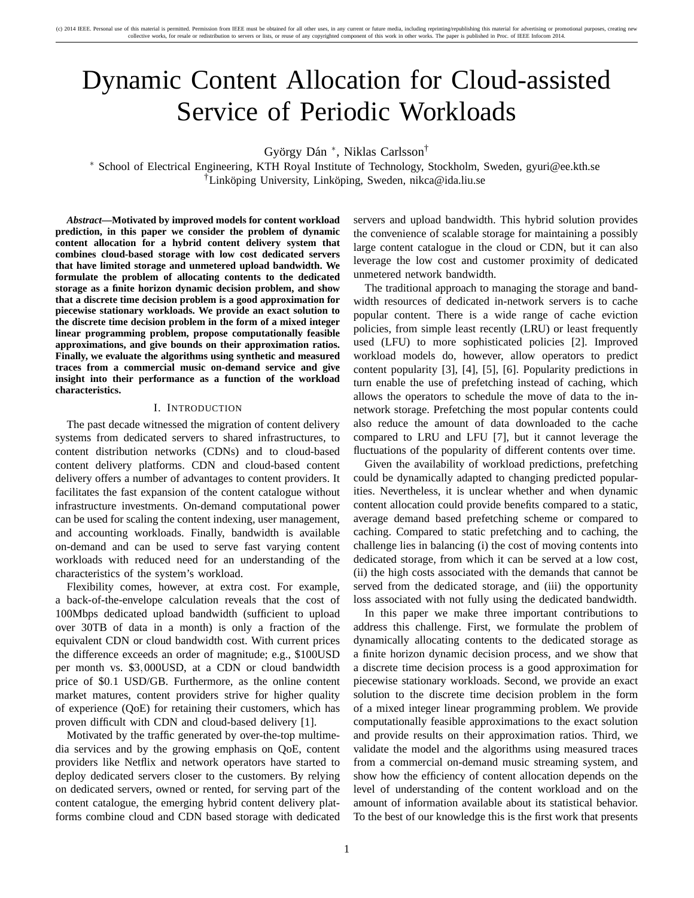# Dynamic Content Allocation for Cloud-assisted Service of Periodic Workloads

György Dán<sup>\*</sup>, Niklas Carlsson<sup>†</sup>

∗ School of Electrical Engineering, KTH Royal Institute of Technology, Stockholm, Sweden, gyuri@ee.kth.se †Linköping University, Linköping, Sweden, nikca@ida.liu.se

*Abstract***—Motivated by improved models for content workload prediction, in this paper we consider the problem of dynamic content allocation for a hybrid content delivery system that combines cloud-based storage with low cost dedicated servers that have limited storage and unmetered upload bandwidth. We formulate the problem of allocating contents to the dedicated storage as a finite horizon dynamic decision problem, and show that a discrete time decision problem is a good approximation for piecewise stationary workloads. We provide an exact solution to the discrete time decision problem in the form of a mixed integer linear programming problem, propose computationally feasible approximations, and give bounds on their approximation ratios. Finally, we evaluate the algorithms using synthetic and measured traces from a commercial music on-demand service and give insight into their performance as a function of the workload characteristics.**

## I. INTRODUCTION

The past decade witnessed the migration of content delivery systems from dedicated servers to shared infrastructures, to content distribution networks (CDNs) and to cloud-based content delivery platforms. CDN and cloud-based content delivery offers a number of advantages to content providers. It facilitates the fast expansion of the content catalogue without infrastructure investments. On-demand computational power can be used for scaling the content indexing, user management, and accounting workloads. Finally, bandwidth is available on-demand and can be used to serve fast varying content workloads with reduced need for an understanding of the characteristics of the system's workload.

Flexibility comes, however, at extra cost. For example, a back-of-the-envelope calculation reveals that the cost of 100Mbps dedicated upload bandwidth (sufficient to upload over 30TB of data in a month) is only a fraction of the equivalent CDN or cloud bandwidth cost. With current prices the difference exceeds an order of magnitude; e.g., \$100USD per month vs. \$3,000USD, at a CDN or cloud bandwidth price of \$0.1 USD/GB. Furthermore, as the online content market matures, content providers strive for higher quality of experience (QoE) for retaining their customers, which has proven difficult with CDN and cloud-based delivery [1].

Motivated by the traffic generated by over-the-top multimedia services and by the growing emphasis on QoE, content providers like Netflix and network operators have started to deploy dedicated servers closer to the customers. By relying on dedicated servers, owned or rented, for serving part of the content catalogue, the emerging hybrid content delivery platforms combine cloud and CDN based storage with dedicated servers and upload bandwidth. This hybrid solution provides the convenience of scalable storage for maintaining a possibly large content catalogue in the cloud or CDN, but it can also leverage the low cost and customer proximity of dedicated unmetered network bandwidth.

The traditional approach to managing the storage and bandwidth resources of dedicated in-network servers is to cache popular content. There is a wide range of cache eviction policies, from simple least recently (LRU) or least frequently used (LFU) to more sophisticated policies [2]. Improved workload models do, however, allow operators to predict content popularity [3], [4], [5], [6]. Popularity predictions in turn enable the use of prefetching instead of caching, which allows the operators to schedule the move of data to the innetwork storage. Prefetching the most popular contents could also reduce the amount of data downloaded to the cache compared to LRU and LFU [7], but it cannot leverage the fluctuations of the popularity of different contents over time.

Given the availability of workload predictions, prefetching could be dynamically adapted to changing predicted popularities. Nevertheless, it is unclear whether and when dynamic content allocation could provide benefits compared to a static, average demand based prefetching scheme or compared to caching. Compared to static prefetching and to caching, the challenge lies in balancing (i) the cost of moving contents into dedicated storage, from which it can be served at a low cost, (ii) the high costs associated with the demands that cannot be served from the dedicated storage, and (iii) the opportunity loss associated with not fully using the dedicated bandwidth.

In this paper we make three important contributions to address this challenge. First, we formulate the problem of dynamically allocating contents to the dedicated storage as a finite horizon dynamic decision process, and we show that a discrete time decision process is a good approximation for piecewise stationary workloads. Second, we provide an exact solution to the discrete time decision problem in the form of a mixed integer linear programming problem. We provide computationally feasible approximations to the exact solution and provide results on their approximation ratios. Third, we validate the model and the algorithms using measured traces from a commercial on-demand music streaming system, and show how the efficiency of content allocation depends on the level of understanding of the content workload and on the amount of information available about its statistical behavior. To the best of our knowledge this is the first work that presents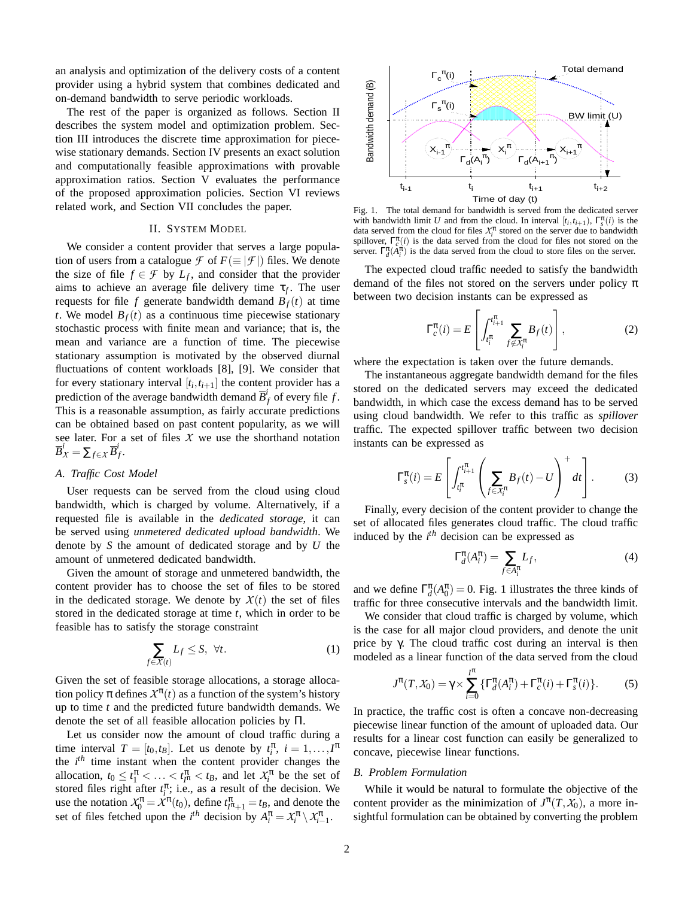an analysis and optimization of the delivery costs of a content provider using a hybrid system that combines dedicated and on-demand bandwidth to serve periodic workloads.

The rest of the paper is organized as follows. Section II describes the system model and optimization problem. Section III introduces the discrete time approximation for piecewise stationary demands. Section IV presents an exact solution and computationally feasible approximations with provable approximation ratios. Section V evaluates the performance of the proposed approximation policies. Section VI reviews related work, and Section VII concludes the paper.

# II. SYSTEM MODEL

We consider a content provider that serves a large population of users from a catalogue  $\mathcal F$  of  $F(\equiv |\mathcal F|)$  files. We denote the size of file  $f \in \mathcal{F}$  by  $L_f$ , and consider that the provider aims to achieve an average file delivery time  $\tau_f$ . The user requests for file f generate bandwidth demand  $B_f(t)$  at time *t*. We model  $B_f(t)$  as a continuous time piecewise stationary stochastic process with finite mean and variance; that is, the mean and variance are a function of time. The piecewise stationary assumption is motivated by the observed diurnal fluctuations of content workloads [8], [9]. We consider that for every stationary interval  $[t_i, t_{i+1}]$  the content provider has a prediction of the average bandwidth demand  $\overline{B}_f^i$  of every file *f*. This is a reasonable assumption, as fairly accurate predictions can be obtained based on past content popularity, as we will see later. For a set of files *X* we use the shorthand notation  $\overline{B}_{X}^{i} = \sum_{f \in X} \overline{B}_{j}^{i}$ *f* .

# *A. Traffic Cost Model*

User requests can be served from the cloud using cloud bandwidth, which is charged by volume. Alternatively, if a requested file is available in the *dedicated storage*, it can be served using *unmetered dedicated upload bandwidth*. We denote by *S* the amount of dedicated storage and by *U* the amount of unmetered dedicated bandwidth.

Given the amount of storage and unmetered bandwidth, the content provider has to choose the set of files to be stored in the dedicated storage. We denote by  $X(t)$  the set of files stored in the dedicated storage at time *t*, which in order to be feasible has to satisfy the storage constraint

$$
\sum_{f \in X(t)} L_f \le S, \ \forall t. \tag{1}
$$

Given the set of feasible storage allocations, a storage allocation policy  $\pi$  defines  $X^{\pi}(t)$  as a function of the system's history up to time *t* and the predicted future bandwidth demands. We denote the set of all feasible allocation policies by Π.

Let us consider now the amount of cloud traffic during a time interval  $T = [t_0, t_B]$ . Let us denote by  $t_i^{\pi}, i = 1, ..., I^{\pi}$ the *i th* time instant when the content provider changes the allocation,  $t_0 \leq t_1^{\pi} < \ldots < t_m^{\pi} < t_B$ , and let  $\mathcal{X}_i^{\pi}$  be the set of stored files right after  $t_i^{\pi}$ ; i.e., as a result of the decision. We use the notation  $X_0^{\pi} = X^{\pi}(t_0)$ , define  $t_{I^{\pi}+1}^{\pi} = t_B$ , and denote the set of files fetched upon the *i<sup>th</sup>* decision by  $A_i^{\pi} = X_i^{\pi} \setminus X_{i-1}^{\pi}$ .



Fig. 1. The total demand for bandwidth is served from the dedicated server with bandwidth limit *U* and from the cloud. In interval  $[t_i, t_{i+1})$ ,  $\Gamma_s^{\pi}(i)$  is the data served from the cloud for files  $X_i^{\pi}$  stored on the server due to bandwidth spillover,  $\Gamma_c^{\pi}(i)$  is the data served from the cloud for files not stored on the server.  $\Gamma_d^{\pi}(\tilde{A}_i^{\pi})$  is the data served from the cloud to store files on the server.

The expected cloud traffic needed to satisfy the bandwidth demand of the files not stored on the servers under policy  $\pi$ between two decision instants can be expressed as

$$
\Gamma_c^{\pi}(i) = E\left[\int_{t_i^{\pi}}^{t_{i+1}^{\pi}} \sum_{f \notin \mathcal{X}_i^{\pi}} B_f(t)\right],
$$
\n(2)

where the expectation is taken over the future demands.

The instantaneous aggregate bandwidth demand for the files stored on the dedicated servers may exceed the dedicated bandwidth, in which case the excess demand has to be served using cloud bandwidth. We refer to this traffic as *spillover* traffic. The expected spillover traffic between two decision instants can be expressed as

$$
\Gamma_s^{\pi}(i) = E\left[\int_{t_i^{\pi}}^{t_{i+1}^{\pi}} \left(\sum_{f \in \mathcal{X}_i^{\pi}} B_f(t) - U\right)^{+} dt\right].
$$
 (3)

Finally, every decision of the content provider to change the set of allocated files generates cloud traffic. The cloud traffic induced by the  $i^{th}$  decision can be expressed as

$$
\Gamma_d^{\pi}(A_i^{\pi}) = \sum_{f \in A_i^{\pi}} L_f,
$$
\n(4)

and we define  $\Gamma_d^{\pi}(A_0^{\pi}) = 0$ . Fig. 1 illustrates the three kinds of traffic for three consecutive intervals and the bandwidth limit.

We consider that cloud traffic is charged by volume, which is the case for all major cloud providers, and denote the unit price by γ. The cloud traffic cost during an interval is then modeled as a linear function of the data served from the cloud

$$
J^{\pi}(T, X_0) = \gamma \times \sum_{i=0}^{T^{\pi}} \{ \Gamma_d^{\pi}(A_i^{\pi}) + \Gamma_c^{\pi}(i) + \Gamma_s^{\pi}(i) \}.
$$
 (5)

In practice, the traffic cost is often a concave non-decreasing piecewise linear function of the amount of uploaded data. Our results for a linear cost function can easily be generalized to concave, piecewise linear functions.

### *B. Problem Formulation*

While it would be natural to formulate the objective of the content provider as the minimization of  $J^{\pi}(T, X_0)$ , a more insightful formulation can be obtained by converting the problem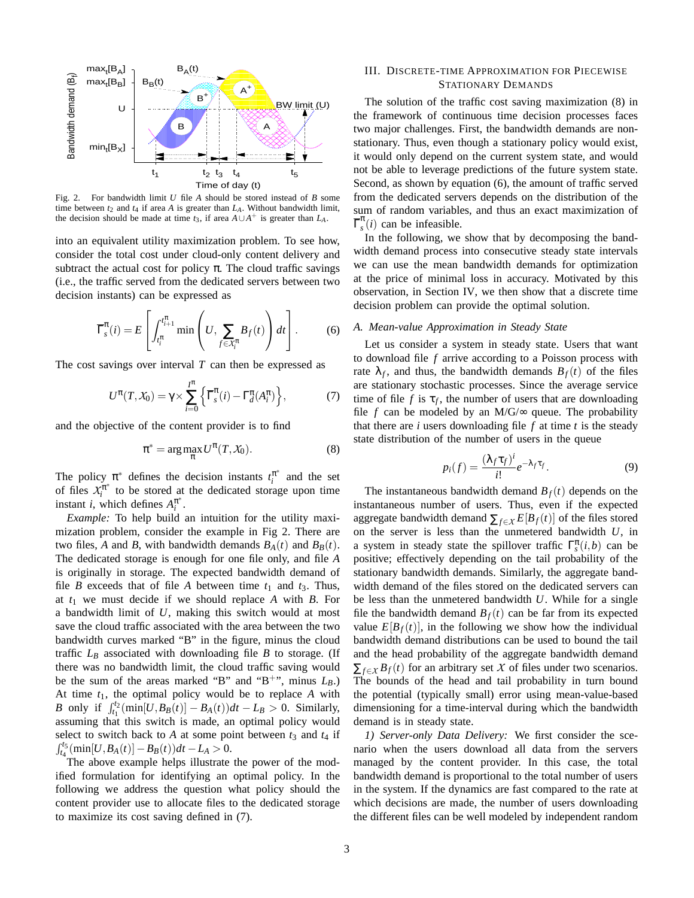

Fig. 2. For bandwidth limit *U* file *A* should be stored instead of *B* some time between  $t_2$  and  $t_4$  if area  $A$  is greater than  $L_A$ . Without bandwidth limit, the decision should be made at time  $t_3$ , if area  $A \cup A^+$  is greater than  $L_A$ .

into an equivalent utility maximization problem. To see how, consider the total cost under cloud-only content delivery and subtract the actual cost for policy  $\pi$ . The cloud traffic savings (i.e., the traffic served from the dedicated servers between two decision instants) can be expressed as

$$
\overline{\Gamma}_s^{\pi}(i) = E\left[\int_{t_i^{\pi}}^{t_{i+1}^{\pi}} \min\left(U, \sum_{f \in X_i^{\pi}} B_f(t)\right) dt\right].
$$
 (6)

The cost savings over interval *T* can then be expressed as

$$
U^{\pi}(T, X_0) = \gamma \times \sum_{i=0}^{T^{\pi}} \left\{ \overline{\Gamma}_s^{\pi}(i) - \Gamma_d^{\pi}(A_i^{\pi}) \right\},
$$
 (7)

and the objective of the content provider is to find

$$
\pi^* = \arg\max_{\pi} U^{\pi}(T, X_0). \tag{8}
$$

The policy  $\pi^*$  defines the decision instants  $t_i^{\pi^*}$  and the set of files  $X_i^{\pi^*}$  to be stored at the dedicated storage upon time instant *i*, which defines  $A_i^{\pi^*}$ .

*Example:* To help build an intuition for the utility maximization problem, consider the example in Fig 2. There are two files, *A* and *B*, with bandwidth demands  $B_A(t)$  and  $B_B(t)$ . The dedicated storage is enough for one file only, and file *A* is originally in storage. The expected bandwidth demand of file *B* exceeds that of file *A* between time  $t_1$  and  $t_3$ . Thus, at  $t_1$  we must decide if we should replace  $A$  with  $B$ . For a bandwidth limit of *U*, making this switch would at most save the cloud traffic associated with the area between the two bandwidth curves marked "B" in the figure, minus the cloud traffic  $L_B$  associated with downloading file  $B$  to storage. (If there was no bandwidth limit, the cloud traffic saving would be the sum of the areas marked "B" and "B+", minus *LB*.) At time *t*1, the optimal policy would be to replace *A* with *B* only if  $\int_{t_1}^{t_2} (\min[U, B_B(t)] - B_A(t)) dt - L_B > 0$ . Similarly, assuming that this switch is made, an optimal policy would select to switch back to  $A$  at some point between  $t_3$  and  $t_4$  if  $\int_{t_4}^{t_5} \left(\min[U, B_A(t)] - B_B(t)\right) dt - L_A > 0.$ 

The above example helps illustrate the power of the modified formulation for identifying an optimal policy. In the following we address the question what policy should the content provider use to allocate files to the dedicated storage to maximize its cost saving defined in (7).

# III. DISCRETE-TIME APPROXIMATION FOR PIECEWISE STATIONARY DEMANDS

The solution of the traffic cost saving maximization (8) in the framework of continuous time decision processes faces two major challenges. First, the bandwidth demands are nonstationary. Thus, even though a stationary policy would exist, it would only depend on the current system state, and would not be able to leverage predictions of the future system state. Second, as shown by equation (6), the amount of traffic served from the dedicated servers depends on the distribution of the sum of random variables, and thus an exact maximization of  $\overline{\Gamma}_s^{\pi}$  $s<sup>n</sup>$  (*i*) can be infeasible.

In the following, we show that by decomposing the bandwidth demand process into consecutive steady state intervals we can use the mean bandwidth demands for optimization at the price of minimal loss in accuracy. Motivated by this observation, in Section IV, we then show that a discrete time decision problem can provide the optimal solution.

#### *A. Mean-value Approximation in Steady State*

Let us consider a system in steady state. Users that want to download file *f* arrive according to a Poisson process with rate  $\lambda_f$ , and thus, the bandwidth demands  $B_f(t)$  of the files are stationary stochastic processes. Since the average service time of file  $f$  is  $\tau_f$ , the number of users that are downloading file  $f$  can be modeled by an M/G/ $\infty$  queue. The probability that there are  $i$  users downloading file  $f$  at time  $t$  is the steady state distribution of the number of users in the queue

$$
p_i(f) = \frac{(\lambda_f \tau_f)^i}{i!} e^{-\lambda_f \tau_f}.
$$
 (9)

The instantaneous bandwidth demand  $B_f(t)$  depends on the instantaneous number of users. Thus, even if the expected aggregate bandwidth demand  $\sum_{f \in \mathcal{X}} E[B_f(t)]$  of the files stored on the server is less than the unmetered bandwidth *U*, in a system in steady state the spillover traffic  $\Gamma_s^{\pi}(i,b)$  can be positive; effectively depending on the tail probability of the stationary bandwidth demands. Similarly, the aggregate bandwidth demand of the files stored on the dedicated servers can be less than the unmetered bandwidth *U*. While for a single file the bandwidth demand  $B_f(t)$  can be far from its expected value  $E[B_f(t)]$ , in the following we show how the individual bandwidth demand distributions can be used to bound the tail and the head probability of the aggregate bandwidth demand  $\sum_{f \in \mathcal{X}} B_f(t)$  for an arbitrary set *X* of files under two scenarios. The bounds of the head and tail probability in turn bound the potential (typically small) error using mean-value-based dimensioning for a time-interval during which the bandwidth demand is in steady state.

*1) Server-only Data Delivery:* We first consider the scenario when the users download all data from the servers managed by the content provider. In this case, the total bandwidth demand is proportional to the total number of users in the system. If the dynamics are fast compared to the rate at which decisions are made, the number of users downloading the different files can be well modeled by independent random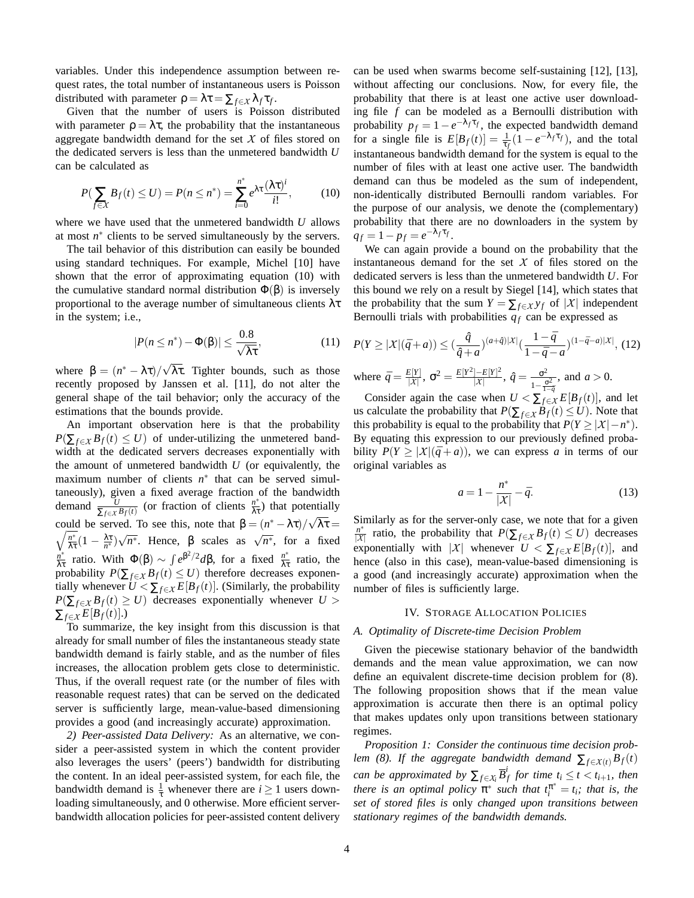variables. Under this independence assumption between request rates, the total number of instantaneous users is Poisson distributed with parameter  $\rho = \lambda \tau = \sum_{f \in \mathcal{X}} \lambda_f \tau_f$ .

Given that the number of users is Poisson distributed with parameter  $\rho = \lambda \tau$ , the probability that the instantaneous aggregate bandwidth demand for the set *X* of files stored on the dedicated servers is less than the unmetered bandwidth *U* can be calculated as

$$
P(\sum_{f \in \mathcal{X}} B_f(t) \le U) = P(n \le n^*) = \sum_{i=0}^{n^*} e^{\lambda \tau} \frac{(\lambda \tau)^i}{i!},\tag{10}
$$

where we have used that the unmetered bandwidth *U* allows at most  $n^*$  clients to be served simultaneously by the servers.

The tail behavior of this distribution can easily be bounded using standard techniques. For example, Michel [10] have shown that the error of approximating equation (10) with the cumulative standard normal distribution  $\Phi(\beta)$  is inversely proportional to the average number of simultaneous clients  $\lambda \tau$ in the system; i.e.,

$$
|P(n \le n^*) - \Phi(\beta)| \le \frac{0.8}{\sqrt{\lambda \tau}}, \tag{11}
$$

where  $\beta = (n^* - \lambda \tau) / \sqrt{\lambda \tau}$ . Tighter bounds, such as those recently proposed by Janssen et al. [11], do not alter the general shape of the tail behavior; only the accuracy of the estimations that the bounds provide.

An important observation here is that the probability  $P(\sum_{f \in X} B_f(t) \leq U)$  of under-utilizing the unmetered bandwidth at the dedicated servers decreases exponentially with the amount of unmetered bandwidth *U* (or equivalently, the maximum number of clients  $n^*$  that can be served simultaneously), given a fixed average fraction of the bandwidth demand  $\frac{U}{\sum_{f\in\mathcal{X}}B_f(t)}$  (or fraction of clients  $\frac{n^*}{\lambda \tau}$ ) that potentially could be served. To see this, note that  $\beta = (n^* - \lambda \tau)/\sqrt{\lambda \tau} =$  $\sqrt{\frac{n^*}{\lambda \tau}}(1 - \frac{\lambda \tau}{n^*}) \sqrt{n^*}$ . Hence,  $\beta$  scales as  $\sqrt{n^*}$ , for a fixed  $\frac{n^*}{\lambda \tau}$  ratio. With Φ(β) ~  $\int e^{\beta^2/2} d\beta$ , for a fixed  $\frac{n^*}{\lambda \tau}$  ratio, the probability  $P(\sum_{f \in \mathcal{X}} B_f(t) \leq U)$  therefore decreases exponentially whenever  $U < \sum_{f \in \mathcal{X}} E[B_f(t)]$ . (Similarly, the probability  $P(\sum_{f \in \mathcal{X}} B_f(t) \geq U)$  decreases exponentially whenever  $U >$  $\sum_{f \in \mathcal{X}} E[B_f(t)]$ .)

To summarize, the key insight from this discussion is that already for small number of files the instantaneous steady state bandwidth demand is fairly stable, and as the number of files increases, the allocation problem gets close to deterministic. Thus, if the overall request rate (or the number of files with reasonable request rates) that can be served on the dedicated server is sufficiently large, mean-value-based dimensioning provides a good (and increasingly accurate) approximation.

*2) Peer-assisted Data Delivery:* As an alternative, we consider a peer-assisted system in which the content provider also leverages the users' (peers') bandwidth for distributing the content. In an ideal peer-assisted system, for each file, the bandwidth demand is  $\frac{1}{\tau}$  whenever there are *i*  $\geq$  1 users downloading simultaneously, and 0 otherwise. More efficient serverbandwidth allocation policies for peer-assisted content delivery

can be used when swarms become self-sustaining [12], [13], without affecting our conclusions. Now, for every file, the probability that there is at least one active user downloading file *f* can be modeled as a Bernoulli distribution with probability  $p_f = 1 - e^{-\lambda_f \tau_f}$ , the expected bandwidth demand for a single file is  $E[B_f(t)] = \frac{1}{\tau_f}(1 - e^{-\lambda_f \tau_f})$ , and the total instantaneous bandwidth demand for the system is equal to the number of files with at least one active user. The bandwidth demand can thus be modeled as the sum of independent, non-identically distributed Bernoulli random variables. For the purpose of our analysis, we denote the (complementary) probability that there are no downloaders in the system by  $q_f = 1 - p_f = e^{-\lambda_f \tau_f}.$ 

We can again provide a bound on the probability that the instantaneous demand for the set *X* of files stored on the dedicated servers is less than the unmetered bandwidth *U*. For this bound we rely on a result by Siegel [14], which states that the probability that the sum  $Y = \sum_{f \in \mathcal{X}} y_f$  of  $|\mathcal{X}|$  independent Bernoulli trials with probabilities  $q_f$  can be expressed as

$$
P(Y \ge |X|(\bar{q} + a)) \le (\frac{\hat{q}}{\hat{q} + a})^{(a+\hat{q})|X|} (\frac{1 - \bar{q}}{1 - \bar{q} - a})^{(1 - \bar{q} - a)|X|}, (12)
$$
  
where  $\bar{q} = \frac{E[Y]}{|X|}, \sigma^2 = \frac{E[Y^2] - E[Y]^2}{|X|}, \hat{q} = \frac{\sigma^2}{1 - \bar{q}}, \text{ and } a > 0.$ 

Consider again the case when  $U < \sum_{f \in X} E[B_f(t)]$ , and let us calculate the probability that  $P(\sum_{f \in \mathcal{X}} B_f(t) \leq U)$ . Note that this probability is equal to the probability that  $P(Y \ge |X| - n^*)$ . By equating this expression to our previously defined probability  $P(Y \geq |X|(\bar{q} + a))$ , we can express *a* in terms of our original variables as

$$
a = 1 - \frac{n^*}{|\mathcal{X}|} - \bar{q}.\tag{13}
$$

Similarly as for the server-only case, we note that for a given  $\frac{n^*}{|X|}$  ratio, the probability that  $P(\sum_{f \in X} B_f(t) \leq U)$  decreases exponentially with  $|X|$  whenever  $U < \sum_{f \in X} E[B_f(t)]$ , and hence (also in this case), mean-value-based dimensioning is a good (and increasingly accurate) approximation when the number of files is sufficiently large.

#### IV. STORAGE ALLOCATION POLICIES

#### *A. Optimality of Discrete-time Decision Problem*

Given the piecewise stationary behavior of the bandwidth demands and the mean value approximation, we can now define an equivalent discrete-time decision problem for (8). The following proposition shows that if the mean value approximation is accurate then there is an optimal policy that makes updates only upon transitions between stationary regimes.

*Proposition 1: Consider the continuous time decision problem* (8). If the aggregate bandwidth demand  $\sum_{f \in \mathcal{X}(t)} B_f(t)$ *can be approximated by*  $\sum_{f \in X_i} \overline{B}_j^i$ *f* for time  $t_i \le t < t_{i+1}$ , then *there is an optimal policy*  $\pi^*$  *such that*  $t_i^{\pi^*} = t_i$ *; that is, the set of stored files is* only *changed upon transitions between stationary regimes of the bandwidth demands.*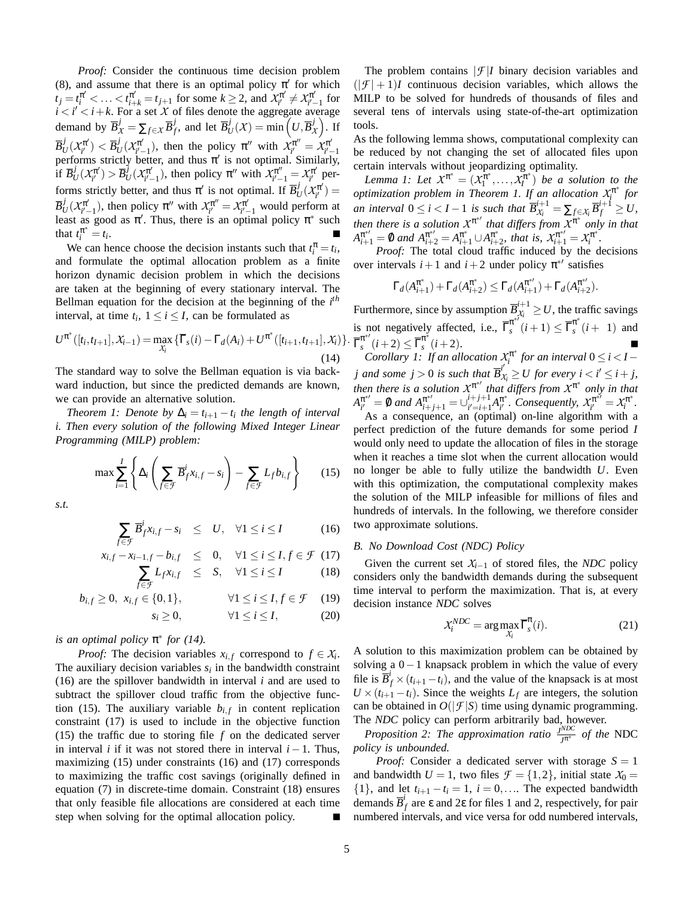*Proof:* Consider the continuous time decision problem (8), and assume that there is an optimal policy  $\pi'$  for which  $t_j = t_i^{\pi'} < \ldots < t_{i+k}^{\pi'} = t_{j+1}$  for some  $k \ge 2$ , and  $X_{i'}^{\pi'} \neq X_{i'-1}^{\pi'}$  for  $i < i' < i+k$ . For a set *X* of files denote the aggregate average demand by  $\overline{B}_X^j = \sum_{f \in X} \overline{B}_f^j$  $\overline{B}^j_U(\mathcal{X}) = \min\left(U, \overline{B}^j_{\mathcal{X}}\right)$ . If  $\overline{B}_{U}^{j}(\chi_{i'}^{\pi'}) < \overline{B}_{U}^{j}(\chi_{i'-1}^{\pi'})$ , then the policy  $\pi''$  with  $\chi_{i'}^{\pi''} = \chi_{i'-1}^{\pi'}$  performs strictly better, and thus  $\pi'$  is not optimal. Similarly, if  $\overline{B}_{U}^{j}(\chi_{i'}^{\pi'}) > \overline{B}_{U}^{j}(\chi_{i'-1}^{\pi'})$ , then policy  $\pi''$  with  $\chi_{i'-1}^{\pi''} = \chi_{i'}^{\pi'}$  performs strictly better, and thus  $\pi'$  is not optimal. If  $\overline{B}_{U}^{j}(\chi_{i'}^{\pi'})$  $\overline{B}_{U}^{j}(\chi_{i'-1}^{\pi'})$ , then policy  $\pi''$  with  $\chi_{i'}^{\pi''} = \chi_{i'-1}^{\pi'}$  would perform at least as good as  $\pi'$ . Thus, there is an optimal policy  $\pi^*$  such that  $t_i^{\pi^*} = t_i$ .

We can hence choose the decision instants such that  $t_i^{\pi} = t_i$ , and formulate the optimal allocation problem as a finite horizon dynamic decision problem in which the decisions are taken at the beginning of every stationary interval. The Bellman equation for the decision at the beginning of the *i th* interval, at time  $t_i$ ,  $1 \le i \le I$ , can be formulated as

$$
U^{\pi^*}([t_i, t_{i+1}], X_{i-1}) = \max_{X_i} {\{\overline{\Gamma}_s(i) - \Gamma_d(A_i) + U^{\pi^*}([t_{i+1}, t_{i+1}], X_i)\}}.
$$
\n(14)

The standard way to solve the Bellman equation is via backward induction, but since the predicted demands are known, we can provide an alternative solution.

*Theorem 1: Denote by*  $\Delta_i = t_{i+1} - t_i$  *the length of interval i. Then every solution of the following Mixed Integer Linear Programming (MILP) problem:*

$$
\max \sum_{i=1}^{I} \left\{ \Delta_i \left( \sum_{f \in \mathcal{F}} \overline{B}_f^i x_{i,f} - s_i \right) - \sum_{f \in \mathcal{F}} L_f b_{i,f} \right\} \tag{15}
$$

*s.t.*

$$
\sum_{f \in \mathcal{F}} \overline{B}_f^i x_{i,f} - s_i \leq U, \quad \forall 1 \leq i \leq I \tag{16}
$$

$$
x_{i,f} - x_{i-1,f} - b_{i,f} \leq 0, \quad \forall 1 \leq i \leq I, f \in \mathcal{F} \quad (17)
$$

$$
\sum_{f \in \mathcal{F}} L_f x_{i,f} \leq S, \quad \forall 1 \leq i \leq I \tag{18}
$$

$$
b_{i,f} \geq 0, \ x_{i,f} \in \{0,1\}, \qquad \forall 1 \leq i \leq I, f \in \mathcal{F} \quad (19)
$$

$$
s_i \ge 0, \qquad \forall 1 \le i \le I, \qquad (20)
$$

# *is an optimal policy* π ∗ *for (14).*

*Proof:* The decision variables  $x_{i,f}$  correspond to  $f \in X_i$ . The auxiliary decision variables  $s_i$  in the bandwidth constraint (16) are the spillover bandwidth in interval *i* and are used to subtract the spillover cloud traffic from the objective function (15). The auxiliary variable  $b_{i,f}$  in content replication constraint (17) is used to include in the objective function (15) the traffic due to storing file *f* on the dedicated server in interval *i* if it was not stored there in interval *i*−1. Thus, maximizing (15) under constraints (16) and (17) corresponds to maximizing the traffic cost savings (originally defined in equation (7) in discrete-time domain. Constraint (18) ensures that only feasible file allocations are considered at each time step when solving for the optimal allocation policy.

The problem contains  $|\mathcal{F}|I$  binary decision variables and  $(|\mathcal{F}| + 1)I$  continuous decision variables, which allows the MILP to be solved for hundreds of thousands of files and several tens of intervals using state-of-the-art optimization tools.

As the following lemma shows, computational complexity can be reduced by not changing the set of allocated files upon certain intervals without jeopardizing optimality.

*Lemma 1: Let*  $X^{\pi^*} = (X_1^{\pi^*}, \ldots, X_I^{\pi^*})$  *be a solution to the I Let*  $X = (X_1, \ldots, X_I)$  *be a solution*  $Y_i^{\pi^*}$  *for optimization problem in Theorem 1. If an allocation*  $X_i^{\pi^*}$  *for an interval*  $0 \leq i < I-1$  *is such that*  $\overline{B}_{X_i}^{i+1} = \sum_{f \in X_i} \overline{B}_f^{i+1} \geq U$ , *then there is a solution*  $X^{\pi^{*'}}$  *that differs from*  $X^{\pi^{*}}$  *only in that*  $A_{i+1}^{\pi^{*'}} = \emptyset$  and  $A_{i+2}^{\pi^{*'}} = A_{i+1}^{\pi^{*}} \cup A_{i+2}^{\pi^{*}}$ , that is,  $X_{i+1}^{\pi^{*'}} = X_i^{\pi^{*}}$ .

*Proof:* The total cloud traffic induced by the decisions over intervals  $i+1$  and  $i+2$  under policy  $\pi^*$  satisfies

$$
\Gamma_d(A_{i+1}^{\pi^*}) + \Gamma_d(A_{i+2}^{\pi^*}) \leq \Gamma_d(A_{i+1}^{\pi^*}) + \Gamma_d(A_{i+2}^{\pi^*}).
$$

Furthermore, since by assumption  $\overline{B}_{x_i}^{i+1} \ge U$ , the traffic savings is not negatively affected, i.e.,  $\overline{\Gamma}_s^{\pi^{*}}(i+1) \leq \overline{\Gamma}_s^{\pi^{*}}(i+1)$  and  $\overline{\Gamma}_{s}^{\pi^{*}}(i+2) \leq \overline{\Gamma}_{s}^{\pi^{*}}(i+2).$ 

*Corollary 1: If an allocation*  $\chi_i^{\pi^*}$  *for an interval*  $0 \le i < I$  – *j* and some  $j > 0$  is such that  $\overline{B}_{X_i}^{i'} \ge U$  for every  $i < i' \le i + j$ , *then there is a solution*  $X^{\pi^*}$  *that differs from*  $X^{\pi^*}$  *only in that*  $A_{i'}^{\pi^{*'}} = \emptyset$  and  $A_{i+j+1}^{\pi^{*'}} = \bigcup_{i'=i+1}^{i+j+1}$  $i^{i+j+1}_{i' = i+1} A^{\pi^*}_{i'}$ . *Consequently,*  $X^{\pi^{*'}}_{i'} = X^{\pi^*}_{i}$ .

As a consequence, an (optimal) on-line algorithm with a perfect prediction of the future demands for some period *I* would only need to update the allocation of files in the storage when it reaches a time slot when the current allocation would no longer be able to fully utilize the bandwidth *U*. Even with this optimization, the computational complexity makes the solution of the MILP infeasible for millions of files and hundreds of intervals. In the following, we therefore consider two approximate solutions.

# *B. No Download Cost (NDC) Policy*

Given the current set  $X_{i-1}$  of stored files, the *NDC* policy considers only the bandwidth demands during the subsequent time interval to perform the maximization. That is, at every decision instance *NDC* solves

$$
\mathcal{X}_i^{NDC} = \arg \max_{\mathcal{X}_i} \overline{\Gamma}_s^{\pi}(i). \tag{21}
$$

A solution to this maximization problem can be obtained by solving a 0−1 knapsack problem in which the value of every file is  $\overline{B}_f^i \times (t_{i+1} - t_i)$ , and the value of the knapsack is at most  $U \times (t_{i+1} - t_i)$ . Since the weights  $L_f$  are integers, the solution can be obtained in  $O(|\mathcal{F}|S)$  time using dynamic programming. The *NDC* policy can perform arbitrarily bad, however.

*Proposition 2: The approximation ratio*  $\frac{J^{NDC}}{I_{\text{max}}^{n}}$  $\frac{WDC}{J^{n^*}}$  *of the* NDC *policy is unbounded.*

*Proof:* Consider a dedicated server with storage  $S = 1$ and bandwidth  $U = 1$ , two files  $\mathcal{F} = \{1, 2\}$ , initial state  $\mathcal{X}_0 =$  $\{1\}$ , and let  $t_{i+1} - t_i = 1$ ,  $i = 0, \ldots$  The expected bandwidth demands  $\overline{B}^i$  $f_f$  are  $\varepsilon$  and  $2\varepsilon$  for files 1 and 2, respectively, for pair numbered intervals, and vice versa for odd numbered intervals,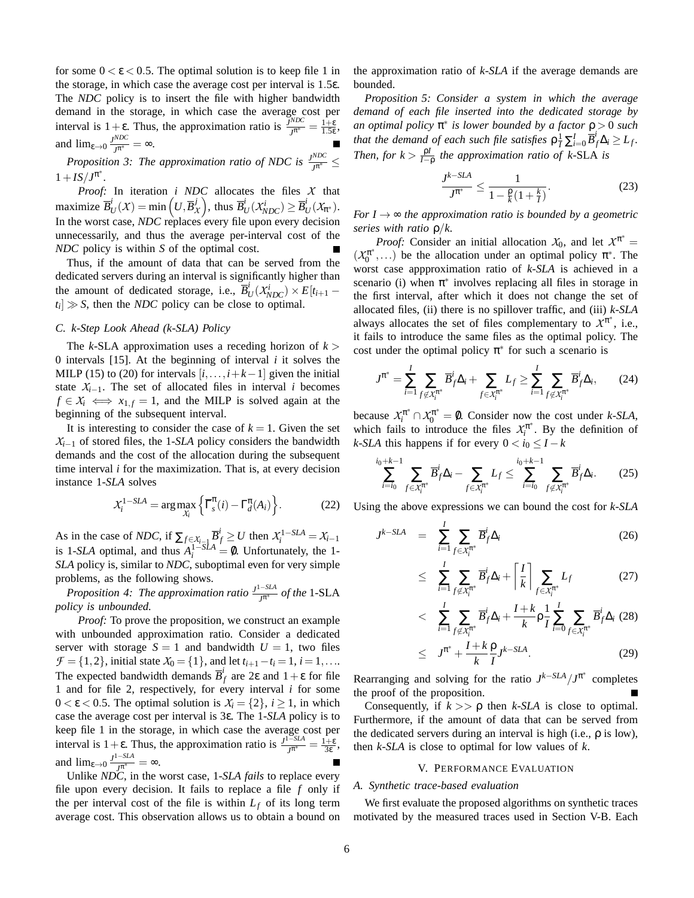for some  $0 < \varepsilon < 0.5$ . The optimal solution is to keep file 1 in the storage, in which case the average cost per interval is 1.5ε. The *NDC* policy is to insert the file with higher bandwidth demand in the storage, in which case the average cost per interval is  $1+\epsilon$ . Thus, the approximation ratio is  $\frac{J^{NDC}}{I^{m^*}}$  $\frac{I_1}{J\pi^*} = \frac{1+\varepsilon}{1.5\varepsilon},$ and  $\lim_{\varepsilon \to 0} \frac{J^{NDC}}{J^{\pi^*}}$  $\frac{1}{J^{\pi^*}} = \infty.$ 

*Proposition 3: The approximation ratio of NDC is*  $\frac{J^{NDC}}{I^{m^*}}$  $\overline{J^{\pi^*}} \leq$  $1 + IS/J^{\pi^*}.$ 

*Proof:* In iteration *i NDC* allocates the files *X* that maximize  $\overline{B}_U^i(\mathcal{X}) = \min\left(U, \overline{B}_\mathcal{X}^j\right)$ , thus  $\overline{B}_U^i(\mathcal{X}_{NDC}^i) \ge \overline{B}_U^i(\mathcal{X}_{\pi^*}).$ In the worst case, *NDC* replaces every file upon every decision unnecessarily, and thus the average per-interval cost of the *NDC* policy is within *S* of the optimal cost.

Thus, if the amount of data that can be served from the dedicated servers during an interval is significantly higher than the amount of dedicated storage, i.e.,  $\overline{B}_U^i(X_{NDC}^i) \times E[t_{i+1}$  $t_i$   $\gg$  *S*, then the *NDC* policy can be close to optimal.

#### *C. k-Step Look Ahead (k-SLA) Policy*

The *k*-SLA approximation uses a receding horizon of *k* > 0 intervals [15]. At the beginning of interval *i* it solves the MILP (15) to (20) for intervals  $[i, \ldots, i+k-1]$  given the initial state  $X_{i-1}$ . The set of allocated files in interval *i* becomes  $f \in X_i \iff x_{1,f} = 1$ , and the MILP is solved again at the beginning of the subsequent interval.

It is interesting to consider the case of  $k = 1$ . Given the set *X<sup>i</sup>*−<sup>1</sup> of stored files, the 1*-SLA* policy considers the bandwidth demands and the cost of the allocation during the subsequent time interval *i* for the maximization. That is, at every decision instance 1*-SLA* solves

$$
\mathcal{X}_i^{1-SLA} = \arg \max_{\mathcal{X}_i} \left\{ \overline{\Gamma}_s^{\pi}(i) - \Gamma_d^{\pi}(A_i) \right\}.
$$
 (22)

As in the case of *NDC*, if  $\sum_{f \in \mathcal{X}_i} \overline{B}^i_f \geq U$  then  $\mathcal{X}_i^{1-SLA} = \mathcal{X}_{i-1}$ is 1*-SLA* optimal, and thus  $A_i^{1-SLA} = \emptyset$ . Unfortunately, the 1*-SLA* policy is, similar to *NDC*, suboptimal even for very simple problems, as the following shows.

*Proposition 4: The approximation ratio <sup>J</sup>* 1−*SLA*  $\frac{J}{J^{n^*}}$  *of the* 1-SLA *policy is unbounded.*

*Proof:* To prove the proposition, we construct an example with unbounded approximation ratio. Consider a dedicated server with storage  $S = 1$  and bandwidth  $U = 1$ , two files  $\mathcal{F} = \{1, 2\}$ , initial state  $\mathcal{X}_0 = \{1\}$ , and let  $t_{i+1} - t_i = 1, i = 1, \ldots$ The expected bandwidth demands  $\overline{B}^i$  $f$  are 2ε and  $1+\varepsilon$  for file 1 and for file 2, respectively, for every interval *i* for some  $0 < \varepsilon < 0.5$ . The optimal solution is  $X_i = \{2\}, i \ge 1$ , in which case the average cost per interval is 3ε. The 1*-SLA* policy is to keep file 1 in the storage, in which case the average cost per interval is 1+**ε**. Thus, the approximation ratio is  $\frac{J^{1\text{-}SLA}}{I^{+}}$  $\frac{1-SLA}{J\pi^*} = \frac{1+\varepsilon}{3\varepsilon},$ and  $\lim_{\varepsilon \to 0} \frac{J^{1-SLA}}{J^{\pi^*}}$  $\frac{J_{\pi}^{(n+1)}}{J_{\pi}^{(n+1)}} = \infty.$ 

Unlike *NDC*, in the worst case, 1*-SLA fails* to replace every file upon every decision. It fails to replace a file *f* only if the per interval cost of the file is within  $L_f$  of its long term average cost. This observation allows us to obtain a bound on the approximation ratio of *k-SLA* if the average demands are bounded.

*Proposition 5: Consider a system in which the average demand of each file inserted into the dedicated storage by an optimal policy* π ∗ *is lower bounded by a factor* ρ > 0 *such that the demand of each such file satisfies*  $\rho \frac{1}{I} \sum_{i=0}^{I} \overline{B}_{f}^{i} \Delta_{i} \geq L_{f}$ . *Then, for*  $k > \frac{\rho I}{I-1}$ *I*−ρ *the approximation ratio of k*-SLA *is*

$$
\frac{J^{k-SLA}}{J^{\pi^*}} \le \frac{1}{1 - \frac{\rho}{k} (1 + \frac{k}{I})}.
$$
 (23)

*For I*  $\rightarrow \infty$  *the approximation ratio is bounded by a geometric series with ratio* ρ/*k.*

*Proof:* Consider an initial allocation  $X_0$ , and let  $X^{\pi^*}$  $(X_0^{\pi^*}, \ldots)$  be the allocation under an optimal policy  $\pi^*$ . The worst case appproximation ratio of *k-SLA* is achieved in a scenario (i) when  $\pi^*$  involves replacing all files in storage in the first interval, after which it does not change the set of allocated files, (ii) there is no spillover traffic, and (iii) *k-SLA* always allocates the set of files complementary to  $X^{\pi^*}$ , i.e., it fails to introduce the same files as the optimal policy. The cost under the optimal policy  $\pi^*$  for such a scenario is

$$
J^{\pi^*} = \sum_{i=1}^I \sum_{f \notin X_i^{\pi^*}} \overline{B}_f^i \Delta_i + \sum_{f \in X_i^{\pi^*}} L_f \ge \sum_{i=1}^I \sum_{f \notin X_i^{\pi^*}} \overline{B}_f^i \Delta_i, \qquad (24)
$$

because  $X_i^{\pi^*} \cap X_0^{\pi^*} = \emptyset$ . Consider now the cost under *k-SLA*, which fails to introduce the files  $X_i^{\pi^*}$ . By the definition of *k*-*SLA* this happens if for every  $0 < i_0 \leq I - k$ 

$$
\sum_{i=i_0}^{i_0+k-1} \sum_{f \in \mathcal{X}_i^{\pi^*}} \overline{B}_f^i \Delta_i - \sum_{f \in \mathcal{X}_i^{\pi^*}} L_f \le \sum_{i=i_0}^{i_0+k-1} \sum_{f \notin \mathcal{X}_i^{\pi^*}} \overline{B}_f^i \Delta_i.
$$
 (25)

Using the above expressions we can bound the cost for *k-SLA*

$$
J^{k-SLA} = \sum_{i=1}^{I} \sum_{f \in \mathcal{X}_i^{n^*}} \overline{B}_f^i \Delta_i
$$
 (26)

$$
\leq \sum_{i=1}^{I} \sum_{f \notin X_i^{\pi^*}} \overline{B}^i_f \Delta_i + \left\lceil \frac{I}{k} \right\rceil \sum_{f \in X_i^{\pi^*}} L_f \tag{27}
$$

$$
<\sum_{i=1}^{I} \sum_{f \notin X_i^{\pi^*}} \overline{B}_f^i \Delta_i + \frac{I+k}{k} \rho \frac{1}{I} \sum_{i=0}^{I} \sum_{f \in X_i^{\pi^*}} \overline{B}_f^i \Delta_i \tag{28}
$$

$$
\leq J^{\pi^*} + \frac{I+k}{k} \frac{\rho}{I} J^{k-SLA}.
$$
 (29)

Rearranging and solving for the ratio  $J^{k-SLA}/J^{\pi^*}$  completes the proof of the proposition.

Consequently, if  $k \gg \rho$  then *k*-SLA is close to optimal. Furthermore, if the amount of data that can be served from the dedicated servers during an interval is high (i.e., ρ is low), then *k-SLA* is close to optimal for low values of *k*.

#### V. PERFORMANCE EVALUATION

# *A. Synthetic trace-based evaluation*

We first evaluate the proposed algorithms on synthetic traces motivated by the measured traces used in Section V-B. Each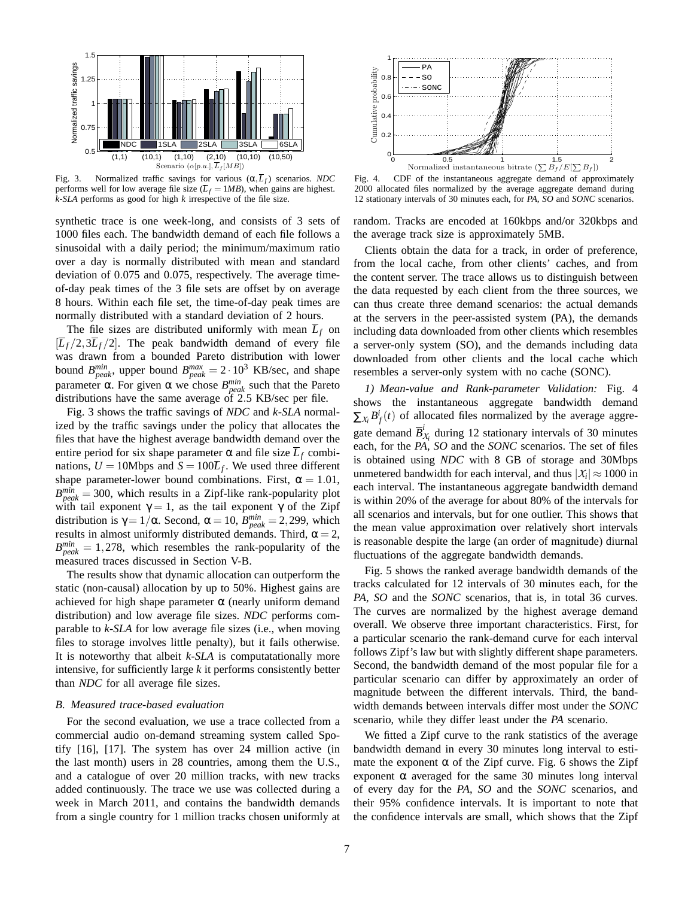

Fig. 3. Normalized traffic savings for various  $(\alpha, \overline{L}_f)$  scenarios. *NDC* performs well for low average file size  $(\overline{L}_f = 1MB)$ , when gains are highest. *k-SLA* performs as good for high *k* irrespective of the file size.

synthetic trace is one week-long, and consists of 3 sets of 1000 files each. The bandwidth demand of each file follows a sinusoidal with a daily period; the minimum/maximum ratio over a day is normally distributed with mean and standard deviation of 0.075 and 0.075, respectively. The average timeof-day peak times of the 3 file sets are offset by on average 8 hours. Within each file set, the time-of-day peak times are normally distributed with a standard deviation of 2 hours.

The file sizes are distributed uniformly with mean  $\overline{L}_f$  on  $[\overline{L}_f/2, 3\overline{L}_f/2]$ . The peak bandwidth demand of every file was drawn from a bounded Pareto distribution with lower bound  $B_{peak}^{min}$ , upper bound  $B_{peak}^{max} = 2 \cdot 10^3$  KB/sec, and shape parameter α. For given α we chose  $B_{peak}^{min}$  such that the Pareto distributions have the same average of 2.5 KB/sec per file.

Fig. 3 shows the traffic savings of *NDC* and *k-SLA* normalized by the traffic savings under the policy that allocates the files that have the highest average bandwidth demand over the entire period for six shape parameter  $\alpha$  and file size  $\overline{L}_f$  combinations,  $U = 10$ Mbps and  $S = 100\overline{L}_f$ . We used three different shape parameter-lower bound combinations. First,  $\alpha = 1.01$ ,  $B_{peak}^{min} = 300$ , which results in a Zipf-like rank-popularity plot with tail exponent  $\gamma = 1$ , as the tail exponent  $\gamma$  of the Zipf distribution is  $\gamma = 1/\alpha$ . Second,  $\alpha = 10$ ,  $B_{peak}^{min} = 2,299$ , which results in almost uniformly distributed demands. Third,  $\alpha = 2$ ,  $B_{peak}^{min} = 1,278$ , which resembles the rank-popularity of the measured traces discussed in Section V-B.

The results show that dynamic allocation can outperform the static (non-causal) allocation by up to 50%. Highest gains are achieved for high shape parameter  $\alpha$  (nearly uniform demand distribution) and low average file sizes. *NDC* performs comparable to *k-SLA* for low average file sizes (i.e., when moving files to storage involves little penalty), but it fails otherwise. It is noteworthy that albeit *k-SLA* is computatationally more intensive, for sufficiently large *k* it performs consistently better than *NDC* for all average file sizes.

### *B. Measured trace-based evaluation*

For the second evaluation, we use a trace collected from a commercial audio on-demand streaming system called Spotify [16], [17]. The system has over 24 million active (in the last month) users in 28 countries, among them the U.S., and a catalogue of over 20 million tracks, with new tracks added continuously. The trace we use was collected during a week in March 2011, and contains the bandwidth demands from a single country for 1 million tracks chosen uniformly at



Fig. 4. CDF of the instantaneous aggregate demand of approximately 2000 allocated files normalized by the average aggregate demand during 12 stationary intervals of 30 minutes each, for *PA*, *SO* and *SONC* scenarios.

random. Tracks are encoded at 160kbps and/or 320kbps and the average track size is approximately 5MB.

Clients obtain the data for a track, in order of preference, from the local cache, from other clients' caches, and from the content server. The trace allows us to distinguish between the data requested by each client from the three sources, we can thus create three demand scenarios: the actual demands at the servers in the peer-assisted system (PA), the demands including data downloaded from other clients which resembles a server-only system (SO), and the demands including data downloaded from other clients and the local cache which resembles a server-only system with no cache (SONC).

*1) Mean-value and Rank-parameter Validation:* Fig. 4 shows the instantaneous aggregate bandwidth demand  $\sum_{x_i} B_f^i(t)$  of allocated files normalized by the average aggregate demand  $\overline{B}_{X_i}^i$  during 12 stationary intervals of 30 minutes each, for the *PA*, *SO* and the *SONC* scenarios. The set of files is obtained using *NDC* with 8 GB of storage and 30Mbps unmetered bandwidth for each interval, and thus  $|\mathcal{X}_i| \approx 1000$  in each interval. The instantaneous aggregate bandwidth demand is within 20% of the average for about 80% of the intervals for all scenarios and intervals, but for one outlier. This shows that the mean value approximation over relatively short intervals is reasonable despite the large (an order of magnitude) diurnal fluctuations of the aggregate bandwidth demands.

Fig. 5 shows the ranked average bandwidth demands of the tracks calculated for 12 intervals of 30 minutes each, for the *PA*, *SO* and the *SONC* scenarios, that is, in total 36 curves. The curves are normalized by the highest average demand overall. We observe three important characteristics. First, for a particular scenario the rank-demand curve for each interval follows Zipf's law but with slightly different shape parameters. Second, the bandwidth demand of the most popular file for a particular scenario can differ by approximately an order of magnitude between the different intervals. Third, the bandwidth demands between intervals differ most under the *SONC* scenario, while they differ least under the *PA* scenario.

We fitted a Zipf curve to the rank statistics of the average bandwidth demand in every 30 minutes long interval to estimate the exponent  $\alpha$  of the Zipf curve. Fig. 6 shows the Zipf exponent  $\alpha$  averaged for the same 30 minutes long interval of every day for the *PA*, *SO* and the *SONC* scenarios, and their 95% confidence intervals. It is important to note that the confidence intervals are small, which shows that the Zipf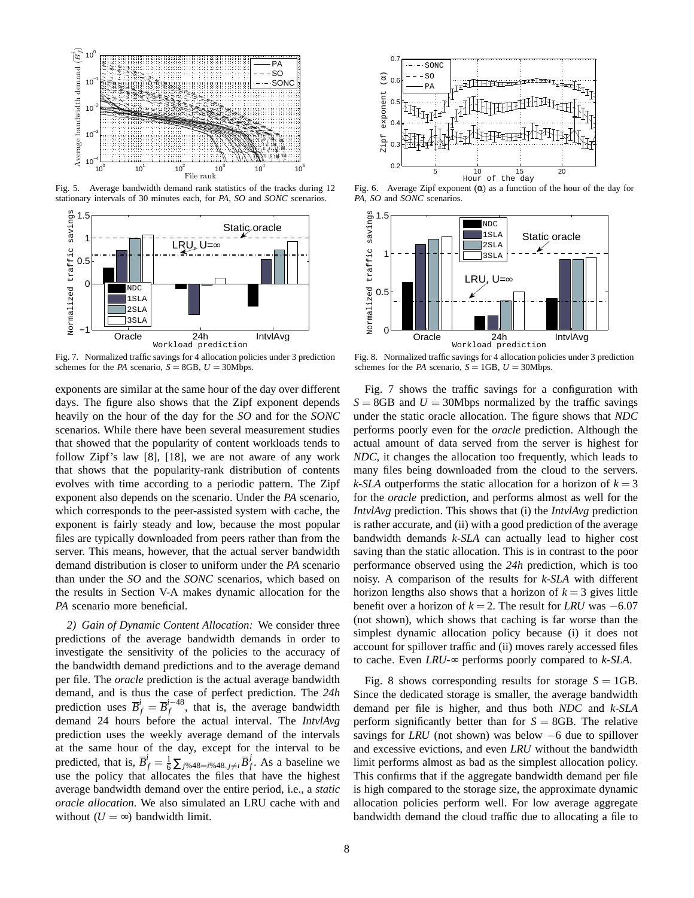

Fig. 5. Average bandwidth demand rank statistics of the tracks during 12 stationary intervals of 30 minutes each, for *PA*, *SO* and *SONC* scenarios.



Fig. 7. Normalized traffic savings for 4 allocation policies under 3 prediction schemes for the *PA* scenario,  $S = 8GB$ ,  $U = 30Mbps$ .

exponents are similar at the same hour of the day over different days. The figure also shows that the Zipf exponent depends heavily on the hour of the day for the *SO* and for the *SONC* scenarios. While there have been several measurement studies that showed that the popularity of content workloads tends to follow Zipf's law [8], [18], we are not aware of any work that shows that the popularity-rank distribution of contents evolves with time according to a periodic pattern. The Zipf exponent also depends on the scenario. Under the *PA* scenario, which corresponds to the peer-assisted system with cache, the exponent is fairly steady and low, because the most popular files are typically downloaded from peers rather than from the server. This means, however, that the actual server bandwidth demand distribution is closer to uniform under the *PA* scenario than under the *SO* and the *SONC* scenarios, which based on the results in Section V-A makes dynamic allocation for the *PA* scenario more beneficial.

*2) Gain of Dynamic Content Allocation:* We consider three predictions of the average bandwidth demands in order to investigate the sensitivity of the policies to the accuracy of the bandwidth demand predictions and to the average demand per file. The *oracle* prediction is the actual average bandwidth demand, and is thus the case of perfect prediction. The *24h* prediction uses  $\overline{B}_f^i = \overline{B}_f^{i-48}$ , that is, the average bandwidth demand 24 hours before the actual interval. The *IntvlAvg* prediction uses the weekly average demand of the intervals at the same hour of the day, except for the interval to be predicted, that is,  $\overline{B}_{f}^{i} = \frac{1}{6} \sum_{j\%48=i\%48, j\neq i} \overline{B}_{f}^{j}$ *f* . As a baseline we use the policy that allocates the files that have the highest average bandwidth demand over the entire period, i.e., a *static oracle allocation*. We also simulated an LRU cache with and without  $(U = \infty)$  bandwidth limit.



Fig. 6. Average Zipf exponent  $(\alpha)$  as a function of the hour of the day for *PA*, *SO* and *SONC* scenarios.



Fig. 8. Normalized traffic savings for 4 allocation policies under 3 prediction schemes for the *PA* scenario,  $S = 1GB$ ,  $U = 30Mbps$ .

Fig. 7 shows the traffic savings for a configuration with  $S = 8GB$  and  $U = 30Mbps$  normalized by the traffic savings under the static oracle allocation. The figure shows that *NDC* performs poorly even for the *oracle* prediction. Although the actual amount of data served from the server is highest for *NDC*, it changes the allocation too frequently, which leads to many files being downloaded from the cloud to the servers. *k*-*SLA* outperforms the static allocation for a horizon of  $k = 3$ for the *oracle* prediction, and performs almost as well for the *IntvlAvg* prediction. This shows that (i) the *IntvlAvg* prediction is rather accurate, and (ii) with a good prediction of the average bandwidth demands *k-SLA* can actually lead to higher cost saving than the static allocation. This is in contrast to the poor performance observed using the *24h* prediction, which is too noisy. A comparison of the results for *k-SLA* with different horizon lengths also shows that a horizon of  $k = 3$  gives little benefit over a horizon of  $k = 2$ . The result for *LRU* was  $-6.07$ (not shown), which shows that caching is far worse than the simplest dynamic allocation policy because (i) it does not account for spillover traffic and (ii) moves rarely accessed files to cache. Even *LRU-*∞ performs poorly compared to *k-SLA*.

Fig. 8 shows corresponding results for storage  $S = 1$ GB. Since the dedicated storage is smaller, the average bandwidth demand per file is higher, and thus both *NDC* and *k-SLA* perform significantly better than for  $S = 8GB$ . The relative savings for *LRU* (not shown) was below −6 due to spillover and excessive evictions, and even *LRU* without the bandwidth limit performs almost as bad as the simplest allocation policy. This confirms that if the aggregate bandwidth demand per file is high compared to the storage size, the approximate dynamic allocation policies perform well. For low average aggregate bandwidth demand the cloud traffic due to allocating a file to